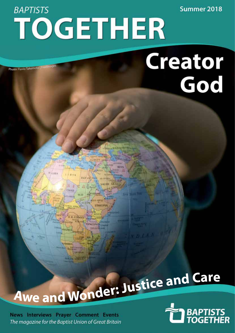**BAPTISTS** TOGETHER

**EGY PT** 

SUD

# Creator God

Summer 2018

Photo: Flavio Takemoto | Freelmages

# Awe and Wonder: Justice and Care

**WHITH AVENUE** 

News Interviews Prayer Comment Events The magazine for the Baptist Union of Great Britain

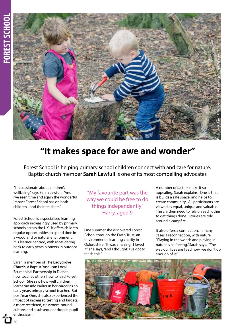

# **"It makes space for awe and wonder"**

Forest School is helping primary school children connect with and care for nature. Baptist church member **Sarah Lawfull** is one of its most compelling advocates

"I'm passionate about children's wellbeing," says Sarah Lawfull. "And I've seen time and again the wonderful impact Forest School has on both children - and their teachers."

Forest School is a specialised learning approach increasingly used by primary schools across the UK. It offers children regular opportunities to spend time in a woodland or natural environment. It is learner-centred, with roots dating back to early years pioneers in outdoor learning.

Sarah, a member of **The Ladygrove Church**, a Baptist/Anglican Local Ecumenical Partnership in Didcot, now teaches others how to lead Forest School. She saw how well children learnt outside earlier in her career as an early years primary school teacher. But post Year One, she also experienced the impact of increased testing and targets, a more restricted, classroom-bound culture, and a subsequent drop in pupil enthusiasm.

"My favourite part was the way we could be free to do things independently" Harry, aged 9

One summer she discovered Forest School through the Earth Trust, an environmental learning charity in Oxfordshire. "It was amazing. I loved it," she says, "and I thought: I've got to teach this."

A number of factors make it so appealing, Sarah explains. One is that is builds a safe space, and helps to create community. All participants are viewed as equal, unique and valuable. The children need to rely on each other to get things done. Stories are told around a campfire.

It also offers a connection, in many cases a reconnection, with nature. "Playing in the woods and playing in nature is so freeing," Sarah says. "The way our lives are lived now, we don't do enough of it."



 $20$